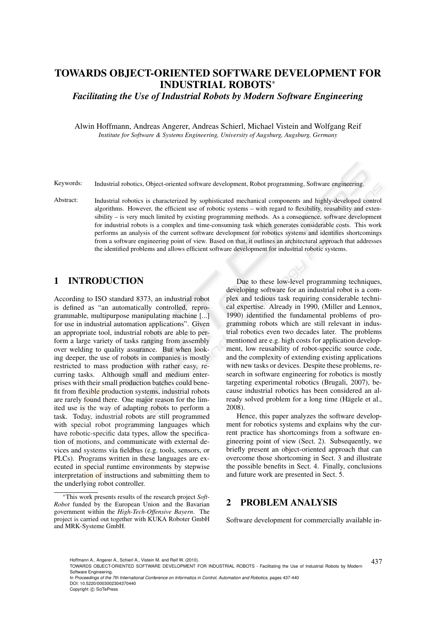# TOWARDS OBJECT-ORIENTED SOFTWARE DEVELOPMENT FOR INDUSTRIAL ROBOTS<sup>∗</sup>

*Facilitating the Use of Industrial Robots by Modern Software Engineering*

Alwin Hoffmann, Andreas Angerer, Andreas Schierl, Michael Vistein and Wolfgang Reif *Institute for Software & Systems Engineering, University of Augsburg, Augsburg, Germany*

Keywords: Industrial robotics, Object-oriented software development, Robot programming, Software engineering.

Abstract: Industrial robotics is characterized by sophisticated mechanical components and highly-developed control algorithms. However, the efficient use of robotic systems – with regard to flexibility, reusability and extensibility – is very much limited by existing programming methods. As a consequence, software development for industrial robots is a complex and time-consuming task which generates considerable costs. This work performs an analysis of the current software development for robotics systems and identifies shortcomings from a software engineering point of view. Based on that, it outlines an architectural approach that addresses the identified problems and allows efficient software development for industrial robotic systems.

# 1 INTRODUCTION

According to ISO standard 8373, an industrial robot is defined as "an automatically controlled, reprogrammable, multipurpose manipulating machine [...] for use in industrial automation applications". Given an appropriate tool, industrial robots are able to perform a large variety of tasks ranging from assembly over welding to quality assurance. But when looking deeper, the use of robots in companies is mostly restricted to mass production with rather easy, recurring tasks. Although small and medium enterprises with their small production batches could benefit from flexible production systems, industrial robots are rarely found there. One major reason for the limited use is the way of adapting robots to perform a task. Today, industrial robots are still programmed with special robot programming languages which have robotic-specific data types, allow the specification of motions, and communicate with external devices and systems via fieldbus (e.g. tools, sensors, or PLCs). Programs written in these languages are executed in special runtime environments by stepwise interpretation of instructions and submitting them to the underlying robot controller.

Due to these low-level programming techniques, developing software for an industrial robot is a complex and tedious task requiring considerable technical expertise. Already in 1990, (Miller and Lennox, 1990) identified the fundamental problems of programming robots which are still relevant in industrial robotics even two decades later. The problems mentioned are e.g. high costs for application development, low reusability of robot-specific source code, and the complexity of extending existing applications with new tasks or devices. Despite these problems, research in software engineering for robotics is mostly targeting experimental robotics (Brugali, 2007), because industrial robotics has been considered an already solved problem for a long time (Hägele et al., 2008).

Hence, this paper analyzes the software development for robotics systems and explains why the current practice has shortcomings from a software engineering point of view (Sect. 2). Subsequently, we briefly present an object-oriented approach that can overcome those shortcoming in Sect. 3 and illustrate the possible benefits in Sect. 4. Finally, conclusions and future work are presented in Sect. 5.

## 2 PROBLEM ANALYSIS

Software development for commercially available in-

<sup>∗</sup>This work presents results of the research project *Soft-Robot* funded by the European Union and the Bavarian government within the *High-Tech-Offensive Bayern*. The project is carried out together with KUKA Roboter GmbH and MRK-Systeme GmbH.

Hoffmann A., Angerer A., Schierl A., Vistein M. and Reif W. (2010).<br>TOWARDS OBJECT-ORIENTED SOFTWARE DEVELOPMENT FOR INDUSTRIAL ROBOTS - Facilitating the Use of Industrial Robots by Modern Software Engineering.

In *Proceedings of the 7th International Conference on Informatics in Control, Automation and Robotics*, pages 437-440 DOI: 10.5220/0003002304370440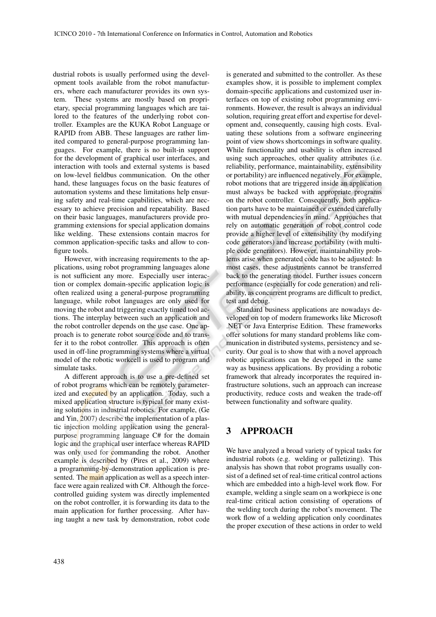dustrial robots is usually performed using the development tools available from the robot manufacturers, where each manufacturer provides its own system. These systems are mostly based on proprietary, special programming languages which are tailored to the features of the underlying robot controller. Examples are the KUKA Robot Language or RAPID from ABB. These languages are rather limited compared to general-purpose programming languages. For example, there is no built-in support for the development of graphical user interfaces, and interaction with tools and external systems is based on low-level fieldbus communication. On the other hand, these languages focus on the basic features of automation systems and these limitations help ensuring safety and real-time capabilities, which are necessary to achieve precision and repeatability. Based on their basic languages, manufacturers provide programming extensions for special application domains like welding. These extensions contain macros for common application-specific tasks and allow to configure tools.

However, with increasing requirements to the applications, using robot programming languages alone is not sufficient any more. Especially user interaction or complex domain-specific application logic is often realized using a general-purpose programming language, while robot languages are only used for moving the robot and triggering exactly timed tool actions. The interplay between such an application and the robot controller depends on the use case. One approach is to generate robot source code and to transfer it to the robot controller. This approach is often used in off-line programming systems where a virtual model of the robotic workcell is used to program and simulate tasks.

A different approach is to use a pre-defined set of robot programs which can be remotely parameterized and executed by an application. Today, such a mixed application structure is typical for many existing solutions in industrial robotics. For example, (Ge and Yin, 2007) describe the implementation of a plastic injection molding application using the generalpurpose programming language C# for the domain logic and the graphical user interface whereas RAPID was only used for commanding the robot. Another example is described by (Pires et al., 2009) where a programming-by-demonstration application is presented. The main application as well as a speech interface were again realized with C#. Although the forcecontrolled guiding system was directly implemented on the robot controller, it is forwarding its data to the main application for further processing. After having taught a new task by demonstration, robot code is generated and submitted to the controller. As these examples show, it is possible to implement complex domain-specific applications and customized user interfaces on top of existing robot programming environments. However, the result is always an individual solution, requiring great effort and expertise for development and, consequently, causing high costs. Evaluating these solutions from a software engineering point of view shows shortcomings in software quality. While functionality and usability is often increased using such approaches, other quality attributes (i.e. reliability, performance, maintainability, extensibility or portability) are influenced negatively. For example, robot motions that are triggered inside an application must always be backed with appropriate programs on the robot controller. Consequently, both application parts have to be maintained or extended carefully with mutual dependencies in mind. Approaches that rely on automatic generation of robot control code provide a higher level of extensibility (by modifying code generators) and increase portability (with multiple code generators). However, maintainability problems arise when generated code has to be adjusted: In most cases, these adjustments cannot be transferred back to the generating model. Further issues concern performance (especially for code generation) and reliability, as concurrent programs are difficult to predict, test and debug.

Standard business applications are nowadays developed on top of modern frameworks like Microsoft .NET or Java Enterprise Edition. These frameworks offer solutions for many standard problems like communication in distributed systems, persistency and security. Our goal is to show that with a novel approach robotic applications can be developed in the same way as business applications. By providing a robotic framework that already incorporates the required infrastructure solutions, such an approach can increase productivity, reduce costs and weaken the trade-off between functionality and software quality.

#### 3 APPROACH

We have analyzed a broad variety of typical tasks for industrial robots (e.g. welding or palletizing). This analysis has shown that robot programs usually consist of a defined set of real-time critical control actions which are embedded into a high-level work flow. For example, welding a single seam on a workpiece is one real-time critical action consisting of operations of the welding torch during the robot's movement. The work flow of a welding application only coordinates the proper execution of these actions in order to weld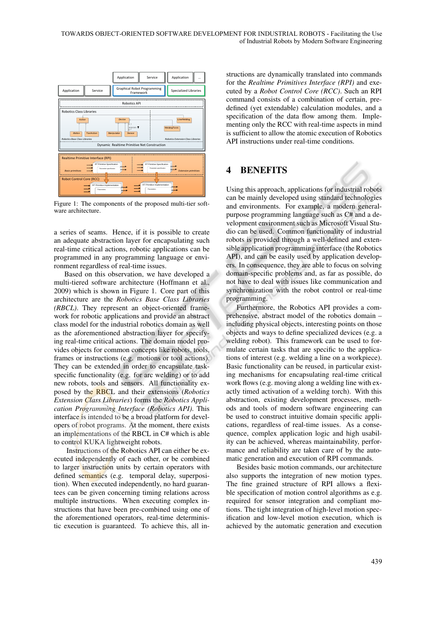

Figure 1: The components of the proposed multi-tier software architecture.

a series of seams. Hence, if it is possible to create an adequate abstraction layer for encapsulating such real-time critical actions, robotic applications can be programmed in any programming language or environment regardless of real-time issues.

Based on this observation, we have developed a multi-tiered software architecture (Hoffmann et al., 2009) which is shown in Figure 1. Core part of this architecture are the *Robotics Base Class Libraries (RBCL)*. They represent an object-oriented framework for robotic applications and provide an abstract class model for the industrial robotics domain as well as the aforementioned abstraction layer for specifying real-time critical actions. The domain model provides objects for common concepts like robots, tools, frames or instructions (e.g. motions or tool actions). They can be extended in order to encapsulate taskspecific functionality (e.g. for arc welding) or to add new robots, tools and sensors. All functionality exposed by the RBCL and their extensions (*Robotics Extension Class Libraries*) forms the *Robotics Application Programming Interface (Robotics API)*. This interface is intended to be a broad platform for developers of robot programs. At the moment, there exists an implementations of the RBCL in C# which is able to control KUKA lightweight robots.

Instructions of the Robotics API can either be executed independently of each other, or be combined to larger instruction units by certain operators with defined semantics (e.g. temporal delay, superposition). When executed independently, no hard guarantees can be given concerning timing relations across multiple instructions. When executing complex instructions that have been pre-combined using one of the aforementioned operators, real-time deterministic execution is guaranteed. To achieve this, all in-

structions are dynamically translated into commands for the *Realtime Primitives Interface (RPI)* and executed by a *Robot Control Core (RCC)*. Such an RPI command consists of a combination of certain, predefined (yet extendable) calculation modules, and a specification of the data flow among them. Implementing only the RCC with real-time aspects in mind is sufficient to allow the atomic execution of Robotics API instructions under real-time conditions.

#### 4 BENEFITS

Using this approach, applications for industrial robots can be mainly developed using standard technologies and environments. For example, a modern generalpurpose programming language such as C# and a development environment such as Microsoft Visual Studio can be used. Common functionality of industrial robots is provided through a well-defined and extensible application programming interface (the Robotics API), and can be easily used by application developers. In consequence, they are able to focus on solving domain-specific problems and, as far as possible, do not have to deal with issues like communication and synchronization with the robot control or real-time programming.

Furthermore, the Robotics API provides a comprehensive, abstract model of the robotics domain – including physical objects, interesting points on those objects and ways to define specialized devices (e.g. a welding robot). This framework can be used to formulate certain tasks that are specific to the applications of interest (e.g. welding a line on a workpiece). Basic functionality can be reused, in particular existing mechanisms for encapsulating real-time critical work flows (e.g. moving along a welding line with exactly timed activation of a welding torch). With this abstraction, existing development processes, methods and tools of modern software engineering can be used to construct intuitive domain specific applications, regardless of real-time issues. As a consequence, complex application logic and high usability can be achieved, whereas maintainability, performance and reliability are taken care of by the automatic generation and execution of RPI commands.

Besides basic motion commands, our architecture also supports the integration of new motion types. The fine grained structure of RPI allows a flexible specification of motion control algorithms as e.g. required for sensor integration and compliant motions. The tight integration of high-level motion specification and low-level motion execution, which is achieved by the automatic generation and execution